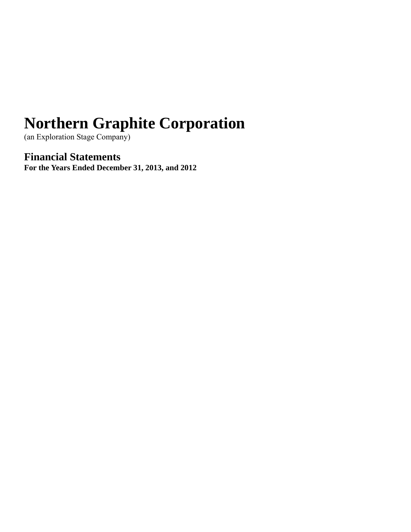(an Exploration Stage Company)

**Financial Statements For the Years Ended December 31, 2013, and 2012**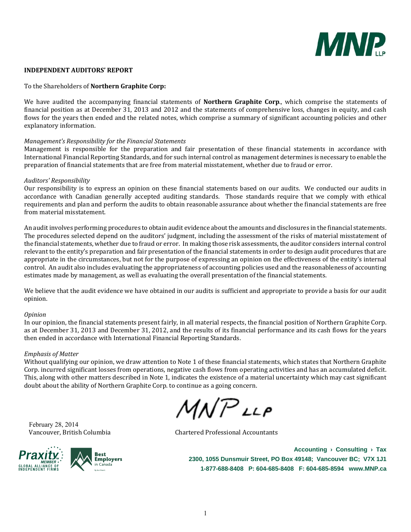

### **INDEPENDENT AUDITORS' REPORT**

### To the Shareholders of **Northern Graphite Corp:**

We have audited the accompanying financial statements of **Northern Graphite Corp**., which comprise the statements of financial position as at December 31, 2013 and 2012 and the statements of comprehensive loss, changes in equity, and cash flows for the years then ended and the related notes, which comprise a summary of significant accounting policies and other explanatory information.

### *Management's Responsibility for the Financial Statements*

Management is responsible for the preparation and fair presentation of these financial statements in accordance with International Financial Reporting Standards, and for such internal control as management determines is necessary to enable the preparation of financial statements that are free from material misstatement, whether due to fraud or error.

### *Auditors' Responsibility*

Our responsibility is to express an opinion on these financial statements based on our audits. We conducted our audits in accordance with Canadian generally accepted auditing standards. Those standards require that we comply with ethical requirements and plan and perform the audits to obtain reasonable assurance about whether the financial statements are free from material misstatement.

An audit involves performing procedures to obtain audit evidence about the amounts and disclosures in the financial statements. The procedures selected depend on the auditors' judgment, including the assessment of the risks of material misstatement of the financial statements, whether due to fraud or error. In making those risk assessments, the auditor considers internal control relevant to the entity's preparation and fair presentation of the financial statements in order to design audit procedures that are appropriate in the circumstances, but not for the purpose of expressing an opinion on the effectiveness of the entity's internal control. An audit also includes evaluating the appropriateness of accounting policies used and the reasonableness of accounting estimates made by management, as well as evaluating the overall presentation of the financial statements.

We believe that the audit evidence we have obtained in our audits is sufficient and appropriate to provide a basis for our audit opinion. 

#### *Opinion*

In our opinion, the financial statements present fairly, in all material respects, the financial position of Northern Graphite Corp. as at December 31, 2013 and December 31, 2012, and the results of its financial performance and its cash flows for the years then ended in accordance with International Financial Reporting Standards.

#### *Emphasis of Matter*

Without qualifying our opinion, we draw attention to Note 1 of these financial statements, which states that Northern Graphite Corp. incurred significant losses from operations, negative cash flows from operating activities and has an accumulated deficit. This, along with other matters described in Note 1, indicates the existence of a material uncertainty which may cast significant doubt about the ability of Northern Graphite Corp. to continue as a going concern.

1N P LLP

February 28, 2014





Vancouver, British Columbia **Chartered Professional Accountants** 

**Accounting › Consulting › Tax 2300, 1055 Dunsmuir Street, PO Box 49148; Vancouver BC; V7X 1J1 1-877-688-8408 P: 604-685-8408 F: 604-685-8594 www.MNP.ca**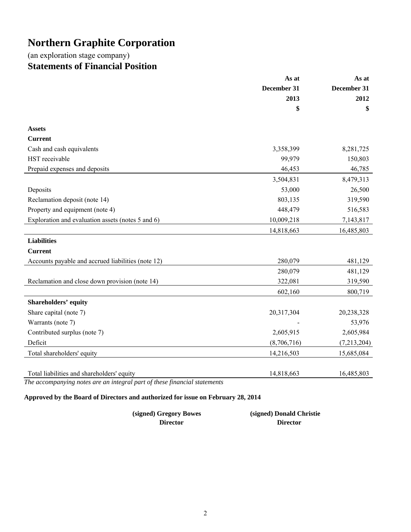### (an exploration stage company) **Statements of Financial Position**

|                                                    | As at       | As at       |
|----------------------------------------------------|-------------|-------------|
|                                                    | December 31 | December 31 |
|                                                    | 2013        | 2012        |
|                                                    | \$          | \$          |
| <b>Assets</b>                                      |             |             |
| <b>Current</b>                                     |             |             |
| Cash and cash equivalents                          | 3,358,399   | 8,281,725   |
| HST receivable                                     | 99,979      | 150,803     |
| Prepaid expenses and deposits                      | 46,453      | 46,785      |
|                                                    | 3,504,831   | 8,479,313   |
| Deposits                                           | 53,000      | 26,500      |
| Reclamation deposit (note 14)                      | 803,135     | 319,590     |
| Property and equipment (note 4)                    | 448,479     | 516,583     |
| Exploration and evaluation assets (notes 5 and 6)  | 10,009,218  | 7,143,817   |
|                                                    | 14,818,663  | 16,485,803  |
| <b>Liabilities</b>                                 |             |             |
| <b>Current</b>                                     |             |             |
| Accounts payable and accrued liabilities (note 12) | 280,079     | 481,129     |
|                                                    | 280,079     | 481,129     |
| Reclamation and close down provision (note 14)     | 322,081     | 319,590     |
|                                                    | 602,160     | 800,719     |
| <b>Shareholders' equity</b>                        |             |             |
| Share capital (note 7)                             | 20,317,304  | 20,238,328  |
| Warrants (note 7)                                  |             | 53,976      |
| Contributed surplus (note 7)                       | 2,605,915   | 2,605,984   |
| Deficit                                            | (8,706,716) | (7,213,204) |
| Total shareholders' equity                         | 14,216,503  | 15,685,084  |
| Total liabilities and shareholders' equity         | 14,818,663  | 16,485,803  |

*The accompanying notes are an integral part of these financial statements* 

### **Approved by the Board of Directors and authorized for issue on February 28, 2014**

 **(signed) Gregory Bowes (signed) Donald Christie Director Director**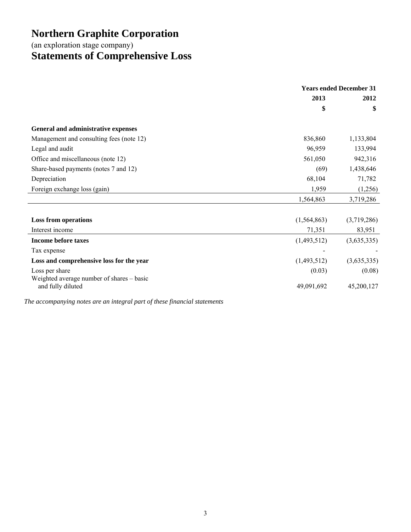(an exploration stage company)

## **Statements of Comprehensive Loss**

|                                                                | <b>Years ended December 31</b> |             |
|----------------------------------------------------------------|--------------------------------|-------------|
|                                                                | 2013                           | 2012        |
|                                                                | \$                             | \$          |
| General and administrative expenses                            |                                |             |
| Management and consulting fees (note 12)                       | 836,860                        | 1,133,804   |
| Legal and audit                                                | 96,959                         | 133,994     |
| Office and miscellaneous (note 12)                             | 561,050                        | 942,316     |
| Share-based payments (notes 7 and 12)                          | (69)                           | 1,438,646   |
| Depreciation                                                   | 68,104                         | 71,782      |
| Foreign exchange loss (gain)                                   | 1,959                          | (1,256)     |
|                                                                | 1,564,863                      | 3,719,286   |
|                                                                |                                |             |
| <b>Loss from operations</b>                                    | (1, 564, 863)                  | (3,719,286) |
| Interest income                                                | 71,351                         | 83,951      |
| <b>Income before taxes</b>                                     | (1,493,512)                    | (3,635,335) |
| Tax expense                                                    |                                |             |
| Loss and comprehensive loss for the year                       | (1,493,512)                    | (3,635,335) |
| Loss per share                                                 | (0.03)                         | (0.08)      |
| Weighted average number of shares – basic<br>and fully diluted | 49,091,692                     | 45,200,127  |

*The accompanying notes are an integral part of these financial statements*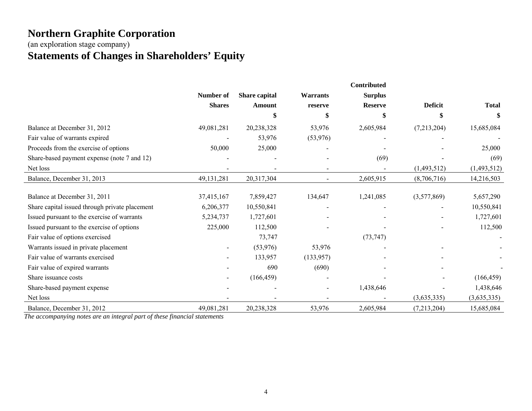(an exploration stage company)

## **Statements of Changes in Shareholders' Equity**

|                                                |               |               |                 | Contributed    |                |               |
|------------------------------------------------|---------------|---------------|-----------------|----------------|----------------|---------------|
|                                                | Number of     | Share capital | <b>Warrants</b> | <b>Surplus</b> |                |               |
|                                                | <b>Shares</b> | <b>Amount</b> | reserve         | <b>Reserve</b> | <b>Deficit</b> | <b>Total</b>  |
|                                                |               | \$            | \$              | \$             | \$             | S             |
| Balance at December 31, 2012                   | 49,081,281    | 20,238,328    | 53,976          | 2,605,984      | (7,213,204)    | 15,685,084    |
| Fair value of warrants expired                 |               | 53,976        | (53, 976)       |                |                |               |
| Proceeds from the exercise of options          | 50,000        | 25,000        |                 |                |                | 25,000        |
| Share-based payment expense (note 7 and 12)    |               |               |                 | (69)           |                | (69)          |
| Net loss                                       |               |               |                 |                | (1,493,512)    | (1, 493, 512) |
| Balance, December 31, 2013                     | 49,131,281    | 20,317,304    |                 | 2,605,915      | (8,706,716)    | 14,216,503    |
| Balance at December 31, 2011                   | 37,415,167    | 7,859,427     | 134,647         | 1,241,085      | (3,577,869)    | 5,657,290     |
| Share capital issued through private placement | 6,206,377     | 10,550,841    |                 |                |                | 10,550,841    |
| Issued pursuant to the exercise of warrants    | 5,234,737     | 1,727,601     |                 |                |                | 1,727,601     |
| Issued pursuant to the exercise of options     | 225,000       | 112,500       |                 |                |                | 112,500       |
| Fair value of options exercised                |               | 73,747        |                 | (73, 747)      |                |               |
| Warrants issued in private placement           |               | (53,976)      | 53,976          |                |                |               |
| Fair value of warrants exercised               |               | 133,957       | (133,957)       |                |                |               |
| Fair value of expired warrants                 |               | 690           | (690)           |                |                |               |
| Share issuance costs                           |               | (166, 459)    |                 |                |                | (166, 459)    |
| Share-based payment expense                    |               |               |                 | 1,438,646      |                | 1,438,646     |
| Net loss                                       |               |               |                 |                | (3,635,335)    | (3,635,335)   |
| Balance, December 31, 2012                     | 49,081,281    | 20,238,328    | 53,976          | 2,605,984      | (7,213,204)    | 15,685,084    |

*The accompanying notes are an integral part of these financial statements*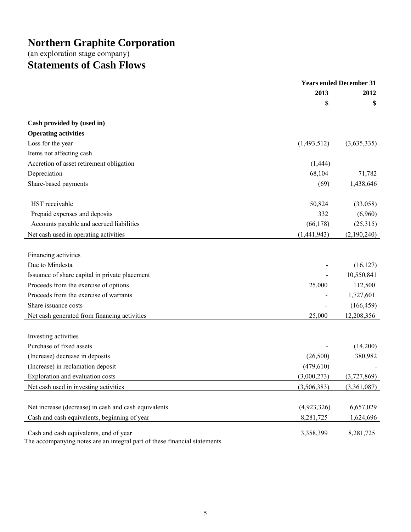## (an exploration stage company)

## **Statements of Cash Flows**

|                                                                                                                     | <b>Years ended December 31</b> |             |  |
|---------------------------------------------------------------------------------------------------------------------|--------------------------------|-------------|--|
|                                                                                                                     | 2013                           | 2012        |  |
|                                                                                                                     | \$                             | \$          |  |
| Cash provided by (used in)                                                                                          |                                |             |  |
| <b>Operating activities</b>                                                                                         |                                |             |  |
| Loss for the year                                                                                                   | (1,493,512)                    | (3,635,335) |  |
| Items not affecting cash                                                                                            |                                |             |  |
| Accretion of asset retirement obligation                                                                            | (1, 444)                       |             |  |
| Depreciation                                                                                                        | 68,104                         | 71,782      |  |
| Share-based payments                                                                                                | (69)                           | 1,438,646   |  |
| HST receivable                                                                                                      | 50,824                         | (33,058)    |  |
| Prepaid expenses and deposits                                                                                       | 332                            | (6,960)     |  |
| Accounts payable and accrued liabilities                                                                            | (66, 178)                      | (25,315)    |  |
| Net cash used in operating activities                                                                               | (1,441,943)                    | (2,190,240) |  |
| Financing activities                                                                                                |                                |             |  |
| Due to Mindesta                                                                                                     |                                | (16, 127)   |  |
| Issuance of share capital in private placement                                                                      |                                | 10,550,841  |  |
| Proceeds from the exercise of options                                                                               | 25,000                         | 112,500     |  |
| Proceeds from the exercise of warrants                                                                              |                                | 1,727,601   |  |
| Share issuance costs                                                                                                |                                | (166, 459)  |  |
| Net cash generated from financing activities                                                                        | 25,000                         | 12,208,356  |  |
| Investing activities                                                                                                |                                |             |  |
| Purchase of fixed assets                                                                                            |                                | (14,200)    |  |
| (Increase) decrease in deposits                                                                                     | (26,500)                       | 380,982     |  |
| (Increase) in reclamation deposit                                                                                   | (479, 610)                     |             |  |
| Exploration and evaluation costs                                                                                    | (3,000,273)                    | (3,727,869) |  |
| Net cash used in investing activities                                                                               | (3,506,383)                    | (3,361,087) |  |
| Net increase (decrease) in cash and cash equivalents                                                                | (4,923,326)                    | 6,657,029   |  |
| Cash and cash equivalents, beginning of year                                                                        | 8,281,725                      | 1,624,696   |  |
|                                                                                                                     |                                |             |  |
| Cash and cash equivalents, end of year<br>The accompanying notes are an integral part of these financial statements | 3,358,399                      | 8,281,725   |  |
|                                                                                                                     |                                |             |  |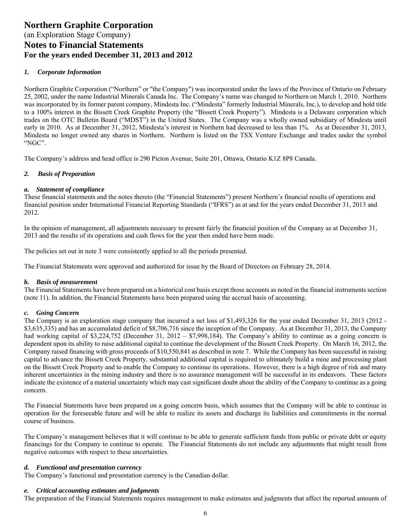### *1. Corporate Information*

Northern Graphite Corporation ("Northern" or "the Company") was incorporated under the laws of the Province of Ontario on February 25, 2002, under the name Industrial Minerals Canada Inc. The Company's name was changed to Northern on March 1, 2010. Northern was incorporated by its former parent company, Mindesta Inc. ("Mindesta" formerly Industrial Minerals, Inc.), to develop and hold title to a 100% interest in the Bissett Creek Graphite Property (the "Bissett Creek Property"). Mindesta is a Delaware corporation which trades on the OTC Bulletin Board ("MDST") in the United States. The Company was a wholly owned subsidiary of Mindesta until early in 2010. As at December 31, 2012, Mindesta's interest in Northern had decreased to less than 1%. As at December 31, 2013, Mindesta no longer owned any shares in Northern. Northern is listed on the TSX Venture Exchange and trades under the symbol "NGC".

The Company's address and head office is 290 Picton Avenue, Suite 201, Ottawa, Ontario K1Z 8P8 Canada.

### *2. Basis of Preparation*

### *a. Statement of compliance*

These financial statements and the notes thereto (the "Financial Statements") present Northern's financial results of operations and financial position under International Financial Reporting Standards ("IFRS") as at and for the years ended December 31, 2013 and 2012.

In the opinion of management, all adjustments necessary to present fairly the financial position of the Company as at December 31, 2013 and the results of its operations and cash flows for the year then ended have been made.

The policies set out in note 3 were consistently applied to all the periods presented.

The Financial Statements were approved and authorized for issue by the Board of Directors on February 28, 2014.

### *b. Basis of measurement*

The Financial Statements have been prepared on a historical cost basis except those accounts as noted in the financial instruments section (note 11). In addition, the Financial Statements have been prepared using the accrual basis of accounting.

### *c. Going Concern*

The Company is an exploration stage company that incurred a net loss of \$1,493,326 for the year ended December 31, 2013 (2012 - \$3,635,335) and has an accumulated deficit of \$8,706,716 since the inception of the Company. As at December 31, 2013, the Company had working capital of \$3,224,752 (December 31, 2012 – \$7,998,184). The Company's ability to continue as a going concern is dependent upon its ability to raise additional capital to continue the development of the Bissett Creek Property. On March 16, 2012, the Company raised financing with gross proceeds of \$10,550,841 as described in note 7. While the Company has been successful in raising capital to advance the Bissett Creek Property, substantial additional capital is required to ultimately build a mine and processing plant on the Bissett Creek Property and to enable the Company to continue its operations. However, there is a high degree of risk and many inherent uncertainties in the mining industry and there is no assurance management will be successful in its endeavors. These factors indicate the existence of a material uncertainty which may cast significant doubt about the ability of the Company to continue as a going concern.

The Financial Statements have been prepared on a going concern basis, which assumes that the Company will be able to continue in operation for the foreseeable future and will be able to realize its assets and discharge its liabilities and commitments in the normal course of business.

The Company's management believes that it will continue to be able to generate sufficient funds from public or private debt or equity financings for the Company to continue to operate. The Financial Statements do not include any adjustments that might result from negative outcomes with respect to these uncertainties.

### *d. Functional and presentation currency*

The Company's functional and presentation currency is the Canadian dollar.

### *e. Critical accounting estimates and judgments*

The preparation of the Financial Statements requires management to make estimates and judgments that affect the reported amounts of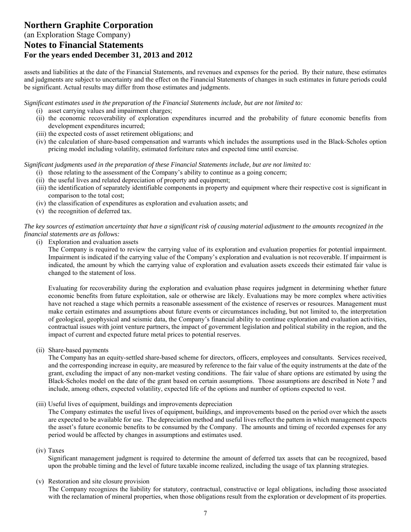assets and liabilities at the date of the Financial Statements, and revenues and expenses for the period. By their nature, these estimates and judgments are subject to uncertainty and the effect on the Financial Statements of changes in such estimates in future periods could be significant. Actual results may differ from those estimates and judgments.

*Significant estimates used in the preparation of the Financial Statements include, but are not limited to:* 

- (i) asset carrying values and impairment charges;
- (ii) the economic recoverability of exploration expenditures incurred and the probability of future economic benefits from development expenditures incurred;
- (iii) the expected costs of asset retirement obligations; and
- (iv) the calculation of share-based compensation and warrants which includes the assumptions used in the Black-Scholes option pricing model including volatility, estimated forfeiture rates and expected time until exercise.

*Significant judgments used in the preparation of these Financial Statements include, but are not limited to:* 

- (i) those relating to the assessment of the Company's ability to continue as a going concern;
- (ii) the useful lives and related depreciation of property and equipment;
- (iii) the identification of separately identifiable components in property and equipment where their respective cost is significant in comparison to the total cost;
- (iv) the classification of expenditures as exploration and evaluation assets; and
- (v) the recognition of deferred tax.

*The key sources of estimation uncertainty that have a significant risk of causing material adjustment to the amounts recognized in the financial statements are as follows:* 

(i) Exploration and evaluation assets

The Company is required to review the carrying value of its exploration and evaluation properties for potential impairment. Impairment is indicated if the carrying value of the Company's exploration and evaluation is not recoverable. If impairment is indicated, the amount by which the carrying value of exploration and evaluation assets exceeds their estimated fair value is changed to the statement of loss.

Evaluating for recoverability during the exploration and evaluation phase requires judgment in determining whether future economic benefits from future exploitation, sale or otherwise are likely. Evaluations may be more complex where activities have not reached a stage which permits a reasonable assessment of the existence of reserves or resources. Management must make certain estimates and assumptions about future events or circumstances including, but not limited to, the interpretation of geological, geophysical and seismic data, the Company's financial ability to continue exploration and evaluation activities, contractual issues with joint venture partners, the impact of government legislation and political stability in the region, and the impact of current and expected future metal prices to potential reserves.

(ii) Share-based payments

The Company has an equity-settled share-based scheme for directors, officers, employees and consultants. Services received, and the corresponding increase in equity, are measured by reference to the fair value of the equity instruments at the date of the grant, excluding the impact of any non-market vesting conditions. The fair value of share options are estimated by using the Black-Scholes model on the date of the grant based on certain assumptions. Those assumptions are described in Note 7 and include, among others, expected volatility, expected life of the options and number of options expected to vest.

(iii) Useful lives of equipment, buildings and improvements depreciation

The Company estimates the useful lives of equipment, buildings, and improvements based on the period over which the assets are expected to be available for use. The depreciation method and useful lives reflect the pattern in which management expects the asset's future economic benefits to be consumed by the Company. The amounts and timing of recorded expenses for any period would be affected by changes in assumptions and estimates used.

(iv) Taxes

Significant management judgment is required to determine the amount of deferred tax assets that can be recognized, based upon the probable timing and the level of future taxable income realized, including the usage of tax planning strategies.

### (v) Restoration and site closure provision

The Company recognizes the liability for statutory, contractual, constructive or legal obligations, including those associated with the reclamation of mineral properties, when those obligations result from the exploration or development of its properties.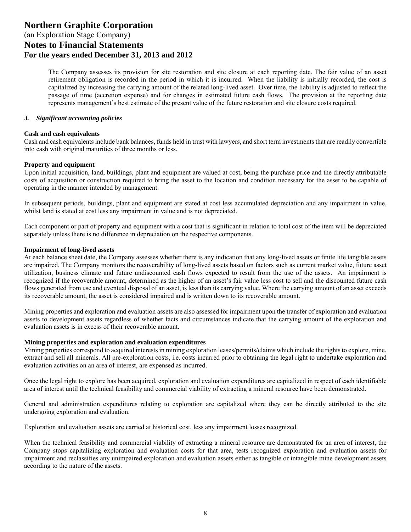The Company assesses its provision for site restoration and site closure at each reporting date. The fair value of an asset retirement obligation is recorded in the period in which it is incurred. When the liability is initially recorded, the cost is capitalized by increasing the carrying amount of the related long-lived asset. Over time, the liability is adjusted to reflect the passage of time (accretion expense) and for changes in estimated future cash flows. The provision at the reporting date represents management's best estimate of the present value of the future restoration and site closure costs required.

### *3. Significant accounting policies*

### **Cash and cash equivalents**

Cash and cash equivalents include bank balances, funds held in trust with lawyers, and short term investments that are readily convertible into cash with original maturities of three months or less.

### **Property and equipment**

Upon initial acquisition, land, buildings, plant and equipment are valued at cost, being the purchase price and the directly attributable costs of acquisition or construction required to bring the asset to the location and condition necessary for the asset to be capable of operating in the manner intended by management.

In subsequent periods, buildings, plant and equipment are stated at cost less accumulated depreciation and any impairment in value, whilst land is stated at cost less any impairment in value and is not depreciated.

Each component or part of property and equipment with a cost that is significant in relation to total cost of the item will be depreciated separately unless there is no difference in depreciation on the respective components.

### **Impairment of long-lived assets**

At each balance sheet date, the Company assesses whether there is any indication that any long-lived assets or finite life tangible assets are impaired. The Company monitors the recoverability of long-lived assets based on factors such as current market value, future asset utilization, business climate and future undiscounted cash flows expected to result from the use of the assets. An impairment is recognized if the recoverable amount, determined as the higher of an asset's fair value less cost to sell and the discounted future cash flows generated from use and eventual disposal of an asset, is less than its carrying value. Where the carrying amount of an asset exceeds its recoverable amount, the asset is considered impaired and is written down to its recoverable amount.

Mining properties and exploration and evaluation assets are also assessed for impairment upon the transfer of exploration and evaluation assets to development assets regardless of whether facts and circumstances indicate that the carrying amount of the exploration and evaluation assets is in excess of their recoverable amount.

#### **Mining properties and exploration and evaluation expenditures**

Mining properties correspond to acquired interests in mining exploration leases/permits/claims which include the rights to explore, mine, extract and sell all minerals. All pre-exploration costs, i.e. costs incurred prior to obtaining the legal right to undertake exploration and evaluation activities on an area of interest, are expensed as incurred.

Once the legal right to explore has been acquired, exploration and evaluation expenditures are capitalized in respect of each identifiable area of interest until the technical feasibility and commercial viability of extracting a mineral resource have been demonstrated.

General and administration expenditures relating to exploration are capitalized where they can be directly attributed to the site undergoing exploration and evaluation.

Exploration and evaluation assets are carried at historical cost, less any impairment losses recognized.

When the technical feasibility and commercial viability of extracting a mineral resource are demonstrated for an area of interest, the Company stops capitalizing exploration and evaluation costs for that area, tests recognized exploration and evaluation assets for impairment and reclassifies any unimpaired exploration and evaluation assets either as tangible or intangible mine development assets according to the nature of the assets.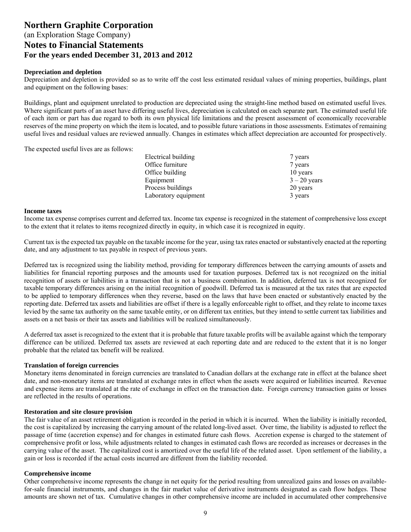### **Depreciation and depletion**

Depreciation and depletion is provided so as to write off the cost less estimated residual values of mining properties, buildings, plant and equipment on the following bases:

Buildings, plant and equipment unrelated to production are depreciated using the straight-line method based on estimated useful lives. Where significant parts of an asset have differing useful lives, depreciation is calculated on each separate part. The estimated useful life of each item or part has due regard to both its own physical life limitations and the present assessment of economically recoverable reserves of the mine property on which the item is located, and to possible future variations in those assessments. Estimates of remaining useful lives and residual values are reviewed annually. Changes in estimates which affect depreciation are accounted for prospectively.

The expected useful lives are as follows:

| Electrical building  | 7 years        |
|----------------------|----------------|
| Office furniture     | 7 years        |
| Office building      | 10 years       |
| Equipment            | $3 - 20$ years |
| Process buildings    | 20 years       |
| Laboratory equipment | 3 years        |
|                      |                |

#### **Income taxes**

Income tax expense comprises current and deferred tax. Income tax expense is recognized in the statement of comprehensive loss except to the extent that it relates to items recognized directly in equity, in which case it is recognized in equity.

Current tax is the expected tax payable on the taxable income for the year, using tax rates enacted or substantively enacted at the reporting date, and any adjustment to tax payable in respect of previous years.

Deferred tax is recognized using the liability method, providing for temporary differences between the carrying amounts of assets and liabilities for financial reporting purposes and the amounts used for taxation purposes. Deferred tax is not recognized on the initial recognition of assets or liabilities in a transaction that is not a business combination. In addition, deferred tax is not recognized for taxable temporary differences arising on the initial recognition of goodwill. Deferred tax is measured at the tax rates that are expected to be applied to temporary differences when they reverse, based on the laws that have been enacted or substantively enacted by the reporting date. Deferred tax assets and liabilities are offset if there is a legally enforceable right to offset, and they relate to income taxes levied by the same tax authority on the same taxable entity, or on different tax entities, but they intend to settle current tax liabilities and assets on a net basis or their tax assets and liabilities will be realized simultaneously.

A deferred tax asset is recognized to the extent that it is probable that future taxable profits will be available against which the temporary difference can be utilized. Deferred tax assets are reviewed at each reporting date and are reduced to the extent that it is no longer probable that the related tax benefit will be realized.

#### **Translation of foreign currencies**

Monetary items denominated in foreign currencies are translated to Canadian dollars at the exchange rate in effect at the balance sheet date, and non-monetary items are translated at exchange rates in effect when the assets were acquired or liabilities incurred. Revenue and expense items are translated at the rate of exchange in effect on the transaction date. Foreign currency transaction gains or losses are reflected in the results of operations.

#### **Restoration and site closure provision**

The fair value of an asset retirement obligation is recorded in the period in which it is incurred. When the liability is initially recorded, the cost is capitalized by increasing the carrying amount of the related long-lived asset. Over time, the liability is adjusted to reflect the passage of time (accretion expense) and for changes in estimated future cash flows. Accretion expense is charged to the statement of comprehensive profit or loss, while adjustments related to changes in estimated cash flows are recorded as increases or decreases in the carrying value of the asset. The capitalized cost is amortized over the useful life of the related asset. Upon settlement of the liability, a gain or loss is recorded if the actual costs incurred are different from the liability recorded.

#### **Comprehensive income**

Other comprehensive income represents the change in net equity for the period resulting from unrealized gains and losses on availablefor-sale financial instruments, and changes in the fair market value of derivative instruments designated as cash flow hedges. These amounts are shown net of tax. Cumulative changes in other comprehensive income are included in accumulated other comprehensive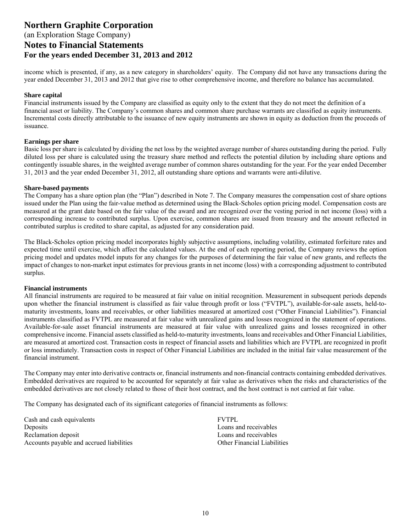income which is presented, if any, as a new category in shareholders' equity. The Company did not have any transactions during the year ended December 31, 2013 and 2012 that give rise to other comprehensive income, and therefore no balance has accumulated.

### **Share capital**

Financial instruments issued by the Company are classified as equity only to the extent that they do not meet the definition of a financial asset or liability. The Company's common shares and common share purchase warrants are classified as equity instruments. Incremental costs directly attributable to the issuance of new equity instruments are shown in equity as deduction from the proceeds of issuance.

### **Earnings per share**

Basic loss per share is calculated by dividing the net loss by the weighted average number of shares outstanding during the period. Fully diluted loss per share is calculated using the treasury share method and reflects the potential dilution by including share options and contingently issuable shares, in the weighted average number of common shares outstanding for the year. For the year ended December 31, 2013 and the year ended December 31, 2012, all outstanding share options and warrants were anti-dilutive.

### **Share-based payments**

The Company has a share option plan (the "Plan") described in Note 7. The Company measures the compensation cost of share options issued under the Plan using the fair-value method as determined using the Black-Scholes option pricing model. Compensation costs are measured at the grant date based on the fair value of the award and are recognized over the vesting period in net income (loss) with a corresponding increase to contributed surplus. Upon exercise, common shares are issued from treasury and the amount reflected in contributed surplus is credited to share capital, as adjusted for any consideration paid.

The Black-Scholes option pricing model incorporates highly subjective assumptions, including volatility, estimated forfeiture rates and expected time until exercise, which affect the calculated values. At the end of each reporting period, the Company reviews the option pricing model and updates model inputs for any changes for the purposes of determining the fair value of new grants, and reflects the impact of changes to non-market input estimates for previous grants in net income (loss) with a corresponding adjustment to contributed surplus.

### **Financial instruments**

All financial instruments are required to be measured at fair value on initial recognition. Measurement in subsequent periods depends upon whether the financial instrument is classified as fair value through profit or loss ("FVTPL"), available-for-sale assets, held-tomaturity investments, loans and receivables, or other liabilities measured at amortized cost ("Other Financial Liabilities"). Financial instruments classified as FVTPL are measured at fair value with unrealized gains and losses recognized in the statement of operations. Available-for-sale asset financial instruments are measured at fair value with unrealized gains and losses recognized in other comprehensive income. Financial assets classified as held-to-maturity investments, loans and receivables and Other Financial Liabilities, are measured at amortized cost. Transaction costs in respect of financial assets and liabilities which are FVTPL are recognized in profit or loss immediately. Transaction costs in respect of Other Financial Liabilities are included in the initial fair value measurement of the financial instrument.

The Company may enter into derivative contracts or, financial instruments and non-financial contracts containing embedded derivatives. Embedded derivatives are required to be accounted for separately at fair value as derivatives when the risks and characteristics of the embedded derivatives are not closely related to those of their host contract, and the host contract is not carried at fair value.

The Company has designated each of its significant categories of financial instruments as follows:

Cash and cash equivalents FVTPL Deposits Loans and receivables Reclamation deposit **Loans** and receivables Accounts payable and accrued liabilities **Other Financial Liabilities** Other Financial Liabilities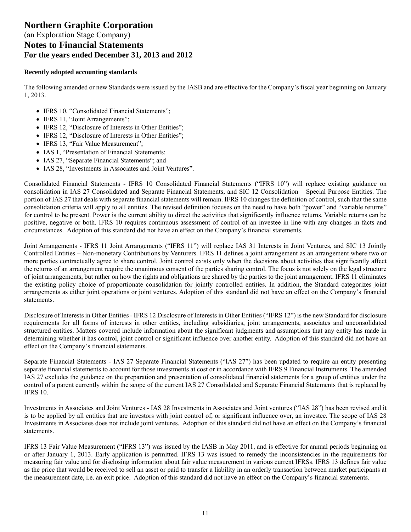### **Recently adopted accounting standards**

The following amended or new Standards were issued by the IASB and are effective for the Company's fiscal year beginning on January 1, 2013.

- IFRS 10, "Consolidated Financial Statements";
- IFRS 11, "Joint Arrangements";
- IFRS 12, "Disclosure of Interests in Other Entities":
- IFRS 12, "Disclosure of Interests in Other Entities";
- IFRS 13, "Fair Value Measurement";
- IAS 1, "Presentation of Financial Statements:
- IAS 27, "Separate Financial Statements"; and
- IAS 28, "Investments in Associates and Joint Ventures".

Consolidated Financial Statements - IFRS 10 Consolidated Financial Statements ("IFRS 10") will replace existing guidance on consolidation in IAS 27 Consolidated and Separate Financial Statements, and SIC 12 Consolidation – Special Purpose Entities. The portion of IAS 27 that deals with separate financial statements will remain. IFRS 10 changes the definition of control, such that the same consolidation criteria will apply to all entities. The revised definition focuses on the need to have both "power" and "variable returns" for control to be present. Power is the current ability to direct the activities that significantly influence returns. Variable returns can be positive, negative or both. IFRS 10 requires continuous assessment of control of an investee in line with any changes in facts and circumstances. Adoption of this standard did not have an effect on the Company's financial statements.

Joint Arrangements - IFRS 11 Joint Arrangements ("IFRS 11") will replace IAS 31 Interests in Joint Ventures, and SIC 13 Jointly Controlled Entities – Non-monetary Contributions by Venturers. IFRS 11 defines a joint arrangement as an arrangement where two or more parties contractually agree to share control. Joint control exists only when the decisions about activities that significantly affect the returns of an arrangement require the unanimous consent of the parties sharing control. The focus is not solely on the legal structure of joint arrangements, but rather on how the rights and obligations are shared by the parties to the joint arrangement. IFRS 11 eliminates the existing policy choice of proportionate consolidation for jointly controlled entities. In addition, the Standard categorizes joint arrangements as either joint operations or joint ventures. Adoption of this standard did not have an effect on the Company's financial statements.

Disclosure of Interests in Other Entities - IFRS 12 Disclosure of Interests in Other Entities ("IFRS 12") is the new Standard for disclosure requirements for all forms of interests in other entities, including subsidiaries, joint arrangements, associates and unconsolidated structured entities. Matters covered include information about the significant judgments and assumptions that any entity has made in determining whether it has control, joint control or significant influence over another entity. Adoption of this standard did not have an effect on the Company's financial statements.

Separate Financial Statements - IAS 27 Separate Financial Statements ("IAS 27") has been updated to require an entity presenting separate financial statements to account for those investments at cost or in accordance with IFRS 9 Financial Instruments. The amended IAS 27 excludes the guidance on the preparation and presentation of consolidated financial statements for a group of entities under the control of a parent currently within the scope of the current IAS 27 Consolidated and Separate Financial Statements that is replaced by IFRS 10.

Investments in Associates and Joint Ventures - IAS 28 Investments in Associates and Joint ventures ("IAS 28") has been revised and it is to be applied by all entities that are investors with joint control of, or significant influence over, an investee. The scope of IAS 28 Investments in Associates does not include joint ventures. Adoption of this standard did not have an effect on the Company's financial statements.

IFRS 13 Fair Value Measurement ("IFRS 13") was issued by the IASB in May 2011, and is effective for annual periods beginning on or after January 1, 2013. Early application is permitted. IFRS 13 was issued to remedy the inconsistencies in the requirements for measuring fair value and for disclosing information about fair value measurement in various current IFRSs. IFRS 13 defines fair value as the price that would be received to sell an asset or paid to transfer a liability in an orderly transaction between market participants at the measurement date, i.e. an exit price. Adoption of this standard did not have an effect on the Company's financial statements.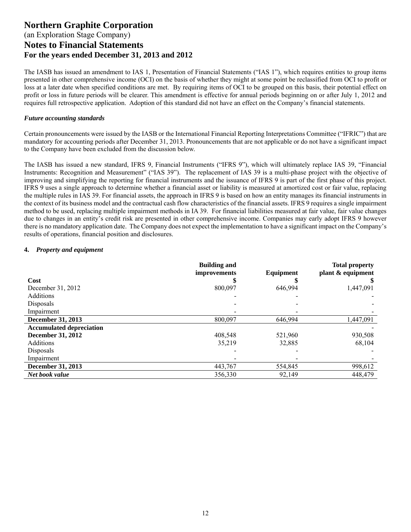The IASB has issued an amendment to IAS 1, Presentation of Financial Statements ("IAS 1"), which requires entities to group items presented in other comprehensive income (OCI) on the basis of whether they might at some point be reclassified from OCI to profit or loss at a later date when specified conditions are met. By requiring items of OCI to be grouped on this basis, their potential effect on profit or loss in future periods will be clearer. This amendment is effective for annual periods beginning on or after July 1, 2012 and requires full retrospective application. Adoption of this standard did not have an effect on the Company's financial statements.

### *Future accounting standards*

Certain pronouncements were issued by the IASB or the International Financial Reporting Interpretations Committee ("IFRIC") that are mandatory for accounting periods after December 31, 2013. Pronouncements that are not applicable or do not have a significant impact to the Company have been excluded from the discussion below.

The IASB has issued a new standard, IFRS 9, Financial Instruments ("IFRS 9"), which will ultimately replace IAS 39, "Financial Instruments: Recognition and Measurement" ("IAS 39"). The replacement of IAS 39 is a multi-phase project with the objective of improving and simplifying the reporting for financial instruments and the issuance of IFRS 9 is part of the first phase of this project. IFRS 9 uses a single approach to determine whether a financial asset or liability is measured at amortized cost or fair value, replacing the multiple rules in IAS 39. For financial assets, the approach in IFRS 9 is based on how an entity manages its financial instruments in the context of its business model and the contractual cash flow characteristics of the financial assets. IFRS 9 requires a single impairment method to be used, replacing multiple impairment methods in IA 39. For financial liabilities measured at fair value, fair value changes due to changes in an entity's credit risk are presented in other comprehensive income. Companies may early adopt IFRS 9 however there is no mandatory application date. The Company does not expect the implementation to have a significant impact on the Company's results of operations, financial position and disclosures.

### **4.** *Property and equipment*

|                                 | <b>Building and</b><br>improvements | Equipment | <b>Total property</b><br>plant & equipment |
|---------------------------------|-------------------------------------|-----------|--------------------------------------------|
| Cost                            |                                     |           |                                            |
| December 31, 2012               | 800,097                             | 646,994   | 1,447,091                                  |
| Additions                       |                                     |           |                                            |
| Disposals                       |                                     |           |                                            |
| Impairment                      |                                     |           |                                            |
| December 31, 2013               | 800,097                             | 646,994   | 1,447,091                                  |
| <b>Accumulated depreciation</b> |                                     |           |                                            |
| <b>December 31, 2012</b>        | 408,548                             | 521,960   | 930,508                                    |
| Additions                       | 35,219                              | 32,885    | 68,104                                     |
| Disposals                       |                                     |           |                                            |
| Impairment                      |                                     |           |                                            |
| <b>December 31, 2013</b>        | 443,767                             | 554,845   | 998,612                                    |
| Net book value                  | 356,330                             | 92,149    | 448,479                                    |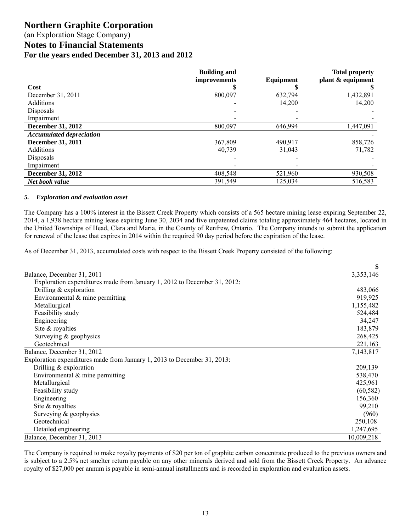### (an Exploration Stage Company)

**Notes to Financial Statements** 

**For the years ended December 31, 2013 and 2012** 

|                                 | <b>Building and</b><br>improvements | <b>Equipment</b> | <b>Total property</b><br>plant & equipment |
|---------------------------------|-------------------------------------|------------------|--------------------------------------------|
| Cost                            |                                     |                  |                                            |
| December 31, 2011               | 800,097                             | 632,794          | 1,432,891                                  |
| Additions                       |                                     | 14,200           | 14,200                                     |
| Disposals                       |                                     |                  |                                            |
| Impairment                      |                                     |                  |                                            |
| <b>December 31, 2012</b>        | 800,097                             | 646,994          | 1,447,091                                  |
| <b>Accumulated depreciation</b> |                                     |                  |                                            |
| <b>December 31, 2011</b>        | 367,809                             | 490,917          | 858,726                                    |
| Additions                       | 40,739                              | 31,043           | 71,782                                     |
| Disposals                       |                                     |                  |                                            |
| Impairment                      |                                     |                  |                                            |
| <b>December 31, 2012</b>        | 408,548                             | 521,960          | 930,508                                    |
| Net book value                  | 391,549                             | 125,034          | 516,583                                    |

### *5. Exploration and evaluation asset*

The Company has a 100% interest in the Bissett Creek Property which consists of a 565 hectare mining lease expiring September 22, 2014, a 1,938 hectare mining lease expiring June 30, 2034 and five unpatented claims totaling approximately 464 hectares, located in the United Townships of Head, Clara and Maria, in the County of Renfrew, Ontario. The Company intends to submit the application for renewal of the lease that expires in 2014 within the required 90 day period before the expiration of the lease.

As of December 31, 2013, accumulated costs with respect to the Bissett Creek Property consisted of the following:

|                                                                          | \$         |
|--------------------------------------------------------------------------|------------|
| Balance, December 31, 2011                                               | 3,353,146  |
| Exploration expenditures made from January 1, 2012 to December 31, 2012: |            |
| Drilling $&$ exploration                                                 | 483,066    |
| Environmental $&$ mine permitting                                        | 919,925    |
| Metallurgical                                                            | 1,155,482  |
| Feasibility study                                                        | 524,484    |
| Engineering                                                              | 34,247     |
| Site & royalties                                                         | 183,879    |
| Surveying & geophysics                                                   | 268,425    |
| Geotechnical                                                             | 221,163    |
| Balance, December 31, 2012                                               | 7,143,817  |
| Exploration expenditures made from January 1, 2013 to December 31, 2013: |            |
| Drilling $&$ exploration                                                 | 209,139    |
| Environmental $&$ mine permitting                                        | 538,470    |
| Metallurgical                                                            | 425,961    |
| Feasibility study                                                        | (60, 582)  |
| Engineering                                                              | 156,360    |
| Site & royalties                                                         | 99,210     |
| Surveying $&$ geophysics                                                 | (960)      |
| Geotechnical                                                             | 250,108    |
| Detailed engineering                                                     | 1,247,695  |
| Balance, December 31, 2013                                               | 10,009,218 |

The Company is required to make royalty payments of \$20 per ton of graphite carbon concentrate produced to the previous owners and is subject to a 2.5% net smelter return payable on any other minerals derived and sold from the Bissett Creek Property. An advance royalty of \$27,000 per annum is payable in semi-annual installments and is recorded in exploration and evaluation assets.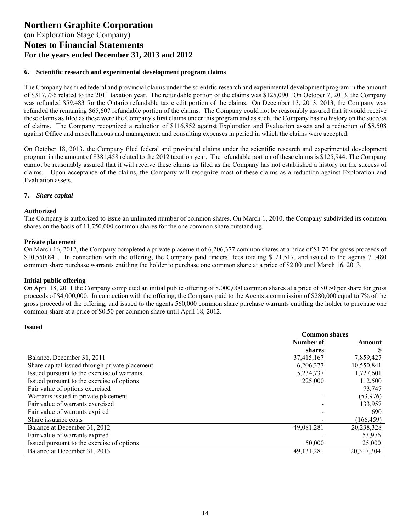### **6. Scientific research and experimental development program claims**

The Company has filed federal and provincial claims under the scientific research and experimental development program in the amount of \$317,736 related to the 2011 taxation year. The refundable portion of the claims was \$125,090. On October 7, 2013, the Company was refunded \$59,483 for the Ontario refundable tax credit portion of the claims. On December 13, 2013, 2013, the Company was refunded the remaining \$65,607 refundable portion of the claims. The Company could not be reasonably assured that it would receive these claims as filed as these were the Company's first claims under this program and as such, the Company has no history on the success of claims. The Company recognized a reduction of \$116,852 against Exploration and Evaluation assets and a reduction of \$8,508 against Office and miscellaneous and management and consulting expenses in period in which the claims were accepted.

On October 18, 2013, the Company filed federal and provincial claims under the scientific research and experimental development program in the amount of \$381,458 related to the 2012 taxation year. The refundable portion of these claims is \$125,944. The Company cannot be reasonably assured that it will receive these claims as filed as the Company has not established a history on the success of claims. Upon acceptance of the claims, the Company will recognize most of these claims as a reduction against Exploration and Evaluation assets.

### **7.** *Share capital*

### **Authorized**

The Company is authorized to issue an unlimited number of common shares. On March 1, 2010, the Company subdivided its common shares on the basis of 11,750,000 common shares for the one common share outstanding.

#### **Private placement**

On March 16, 2012, the Company completed a private placement of 6,206,377 common shares at a price of \$1.70 for gross proceeds of \$10,550,841. In connection with the offering, the Company paid finders' fees totaling \$121,517, and issued to the agents 71,480 common share purchase warrants entitling the holder to purchase one common share at a price of \$2.00 until March 16, 2013.

#### **Initial public offering**

On April 18, 2011 the Company completed an initial public offering of 8,000,000 common shares at a price of \$0.50 per share for gross proceeds of \$4,000,000. In connection with the offering, the Company paid to the Agents a commission of \$280,000 equal to 7% of the gross proceeds of the offering, and issued to the agents 560,000 common share purchase warrants entitling the holder to purchase one common share at a price of \$0.50 per common share until April 18, 2012.

#### **Issued**

|                                                | <b>Common shares</b> |            |
|------------------------------------------------|----------------------|------------|
|                                                | Number of            | Amount     |
|                                                | shares               |            |
| Balance, December 31, 2011                     | 37,415,167           | 7,859,427  |
| Share capital issued through private placement | 6,206,377            | 10,550,841 |
| Issued pursuant to the exercise of warrants    | 5,234,737            | 1,727,601  |
| Issued pursuant to the exercise of options     | 225,000              | 112,500    |
| Fair value of options exercised                |                      | 73,747     |
| Warrants issued in private placement           |                      | (53, 976)  |
| Fair value of warrants exercised               |                      | 133,957    |
| Fair value of warrants expired                 |                      | 690        |
| Share issuance costs                           |                      | (166, 459) |
| Balance at December 31, 2012                   | 49,081,281           | 20,238,328 |
| Fair value of warrants expired                 |                      | 53,976     |
| Issued pursuant to the exercise of options     | 50,000               | 25,000     |
| Balance at December 31, 2013                   | 49, 131, 281         | 20,317,304 |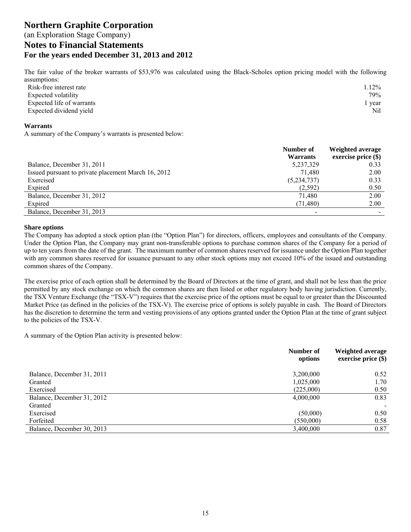The fair value of the broker warrants of \$53,976 was calculated using the Black-Scholes option pricing model with the following assumptions:

| Risk-free interest rate   | $12\%$ |
|---------------------------|--------|
| Expected volatility       | 79%    |
| Expected life of warrants | vear   |
| Expected dividend yield   | Nil    |

### **Warrants**

A summary of the Company's warrants is presented below:

|                                                     | Number of       | <b>Weighted average</b> |
|-----------------------------------------------------|-----------------|-------------------------|
|                                                     | <b>Warrants</b> | exercise price $(\$)$   |
| Balance, December 31, 2011                          | 5,237,329       | 0.33                    |
| Issued pursuant to private placement March 16, 2012 | 71.480          | 2.00                    |
| Exercised                                           | (5,234,737)     | 0.33                    |
| Expired                                             | (2,592)         | 0.50                    |
| Balance, December 31, 2012                          | 71,480          | 2.00                    |
| Expired                                             | (71, 480)       | 2.00                    |
| Balance, December 31, 2013                          | ۰               |                         |

### **Share options**

The Company has adopted a stock option plan (the "Option Plan") for directors, officers, employees and consultants of the Company. Under the Option Plan, the Company may grant non-transferable options to purchase common shares of the Company for a period of up to ten years from the date of the grant. The maximum number of common shares reserved for issuance under the Option Plan together with any common shares reserved for issuance pursuant to any other stock options may not exceed 10% of the issued and outstanding common shares of the Company.

The exercise price of each option shall be determined by the Board of Directors at the time of grant, and shall not be less than the price permitted by any stock exchange on which the common shares are then listed or other regulatory body having jurisdiction. Currently, the TSX Venture Exchange (the "TSX-V") requires that the exercise price of the options must be equal to or greater than the Discounted Market Price (as defined in the policies of the TSX-V). The exercise price of options is solely payable in cash. The Board of Directors has the discretion to determine the term and vesting provisions of any options granted under the Option Plan at the time of grant subject to the policies of the TSX-V.

A summary of the Option Plan activity is presented below:

|                            | Number of<br>options | Weighted average<br>exercise price $(\$)$ |
|----------------------------|----------------------|-------------------------------------------|
| Balance, December 31, 2011 | 3,200,000            | 0.52                                      |
| Granted                    | 1,025,000            | 1.70                                      |
| Exercised                  | (225,000)            | 0.50                                      |
| Balance, December 31, 2012 | 4,000,000            | 0.83                                      |
| Granted                    |                      |                                           |
| Exercised                  | (50,000)             | 0.50                                      |
| Forfeited                  | (550,000)            | 0.58                                      |
| Balance, December 30, 2013 | 3,400,000            | 0.87                                      |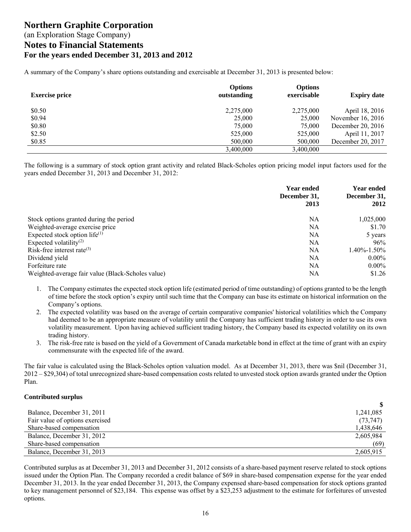A summary of the Company's share options outstanding and exercisable at December 31, 2013 is presented below:

| <b>Exercise price</b> | <b>Options</b><br>outstanding | <b>Options</b><br>exercisable | <b>Expiry date</b> |
|-----------------------|-------------------------------|-------------------------------|--------------------|
| \$0.50                | 2,275,000                     | 2,275,000                     | April 18, 2016     |
| \$0.94                | 25,000                        | 25,000                        | November 16, 2016  |
| \$0.80                | 75,000                        | 75,000                        | December 20, 2016  |
| \$2.50                | 525,000                       | 525,000                       | April 11, 2017     |
| \$0.85                | 500,000                       | 500,000                       | December 20, 2017  |
|                       | 3,400,000                     | 3,400,000                     |                    |

The following is a summary of stock option grant activity and related Black-Scholes option pricing model input factors used for the years ended December 31, 2013 and December 31, 2012:

|                                                   | <b>Year ended</b><br>December 31,<br>2013 | <b>Year ended</b><br>December 31,<br>2012 |
|---------------------------------------------------|-------------------------------------------|-------------------------------------------|
| Stock options granted during the period           | NA                                        | 1,025,000                                 |
| Weighted-average exercise price                   | NA                                        | \$1.70                                    |
| Expected stock option $life^{(1)}$                | NΑ                                        | 5 years                                   |
| Expected volatility <sup>(2)</sup>                | NΑ                                        | 96%                                       |
| Risk-free interest rate $(3)$                     | NA                                        | 1.40%-1.50%                               |
| Dividend yield                                    | NΑ                                        | $0.00\%$                                  |
| Forfeiture rate                                   | NΑ                                        | $0.00\%$                                  |
| Weighted-average fair value (Black-Scholes value) | NA                                        | \$1.26                                    |

- 1. The Company estimates the expected stock option life (estimated period of time outstanding) of options granted to be the length of time before the stock option's expiry until such time that the Company can base its estimate on historical information on the Company's options.
- 2. The expected volatility was based on the average of certain comparative companies' historical volatilities which the Company had deemed to be an appropriate measure of volatility until the Company has sufficient trading history in order to use its own volatility measurement. Upon having achieved sufficient trading history, the Company based its expected volatility on its own trading history.
- 3. The risk-free rate is based on the yield of a Government of Canada marketable bond in effect at the time of grant with an expiry commensurate with the expected life of the award.

The fair value is calculated using the Black-Scholes option valuation model. As at December 31, 2013, there was \$nil (December 31, 2012 – \$29,304) of total unrecognized share-based compensation costs related to unvested stock option awards granted under the Option Plan.

### **Contributed surplus**

| Balance, December 31, 2011      | 1,241,085 |
|---------------------------------|-----------|
| Fair value of options exercised | (73, 747) |
| Share-based compensation        | 1,438,646 |
| Balance, December 31, 2012      | 2,605,984 |
| Share-based compensation        | (69)      |
| Balance, December 31, 2013      | 2,605,915 |

Contributed surplus as at December 31, 2013 and December 31, 2012 consists of a share-based payment reserve related to stock options issued under the Option Plan. The Company recorded a credit balance of \$69 in share-based compensation expense for the year ended December 31, 2013. In the year ended December 31, 2013, the Company expensed share-based compensation for stock options granted to key management personnel of \$23,184. This expense was offset by a \$23,253 adjustment to the estimate for forfeitures of unvested options.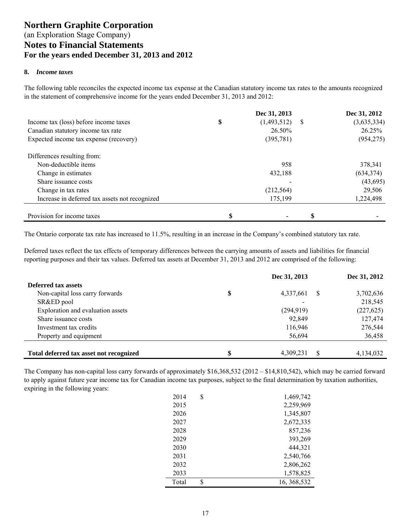### **8.** *Income taxes*

The following table reconciles the expected income tax expense at the Canadian statutory income tax rates to the amounts recognized in the statement of comprehensive income for the years ended December 31, 2013 and 2012:

|                                                | Dec 31, 2013      |    | Dec 31, 2012 |
|------------------------------------------------|-------------------|----|--------------|
| Income tax (loss) before income taxes          | \$<br>(1,493,512) | -S | (3,635,334)  |
| Canadian statutory income tax rate             | 26.50%            |    | 26.25%       |
| Expected income tax expense (recovery)         | (395, 781)        |    | (954, 275)   |
| Differences resulting from:                    |                   |    |              |
| Non-deductible items                           | 958               |    | 378,341      |
| Change in estimates                            | 432,188           |    | (634, 374)   |
| Share issuance costs                           |                   |    | (43,695)     |
| Change in tax rates                            | (212, 564)        |    | 29,506       |
| Increase in deferred tax assets not recognized | 175,199           |    | 1,224,498    |
| Provision for income taxes                     | \$                | \$ |              |

The Ontario corporate tax rate has increased to 11.5%, resulting in an increase in the Company's combined statutory tax rate.

Deferred taxes reflect the tax effects of temporary differences between the carrying amounts of assets and liabilities for financial reporting purposes and their tax values. Deferred tax assets at December 31, 2013 and 2012 are comprised of the following:

|                                         | Dec 31, 2013    |    | Dec 31, 2012 |
|-----------------------------------------|-----------------|----|--------------|
| Deferred tax assets                     |                 |    |              |
| Non-capital loss carry forwards         | \$<br>4,337,661 | -S | 3,702,636    |
| SR&ED pool                              |                 |    | 218,545      |
| Exploration and evaluation assets       | (294, 919)      |    | (227, 625)   |
| Share issuance costs                    | 92.849          |    | 127,474      |
| Investment tax credits                  | 116,946         |    | 276,544      |
| Property and equipment                  | 56,694          |    | 36,458       |
| Total deferred tax asset not recognized | \$<br>4,309,231 |    | 4,134,032    |

The Company has non-capital loss carry forwards of approximately \$16,368,532 (2012 – \$14,810,542), which may be carried forward to apply against future year income tax for Canadian income tax purposes, subject to the final determination by taxation authorities, expiring in the following years:

| 2014  | S  | 1,469,742    |
|-------|----|--------------|
| 2015  |    | 2,259,969    |
| 2026  |    | 1,345,807    |
| 2027  |    | 2,672,335    |
| 2028  |    | 857,236      |
| 2029  |    | 393,269      |
| 2030  |    | 444,321      |
| 2031  |    | 2,540,766    |
| 2032  |    | 2,806,262    |
| 2033  |    | 1,578,825    |
| Total | \$ | 16, 368, 532 |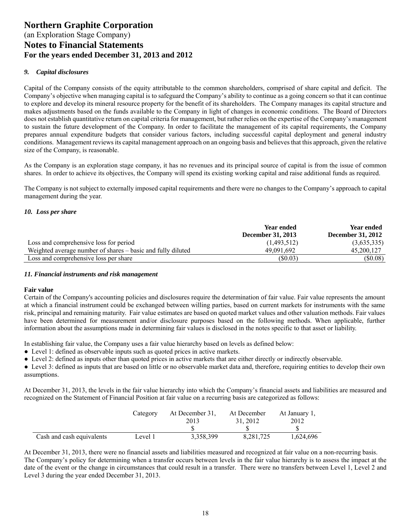### *9. Capital disclosures*

Capital of the Company consists of the equity attributable to the common shareholders, comprised of share capital and deficit. The Company's objective when managing capital is to safeguard the Company's ability to continue as a going concern so that it can continue to explore and develop its mineral resource property for the benefit of its shareholders. The Company manages its capital structure and makes adjustments based on the funds available to the Company in light of changes in economic conditions. The Board of Directors does not establish quantitative return on capital criteria for management, but rather relies on the expertise of the Company's management to sustain the future development of the Company. In order to facilitate the management of its capital requirements, the Company prepares annual expenditure budgets that consider various factors, including successful capital deployment and general industry conditions. Management reviews its capital management approach on an ongoing basis and believes that this approach, given the relative size of the Company, is reasonable.

As the Company is an exploration stage company, it has no revenues and its principal source of capital is from the issue of common shares. In order to achieve its objectives, the Company will spend its existing working capital and raise additional funds as required.

The Company is not subject to externally imposed capital requirements and there were no changes to the Company's approach to capital management during the year.

### *10. Loss per share*

|                                                             | <b>Year ended</b>        | Year ended               |
|-------------------------------------------------------------|--------------------------|--------------------------|
|                                                             | <b>December 31, 2013</b> | <b>December 31, 2012</b> |
| Loss and comprehensive loss for period                      | (1, 493, 512)            | (3,635,335)              |
| Weighted average number of shares – basic and fully diluted | 49.091.692               | 45.200.127               |
| Loss and comprehensive loss per share                       | (S0.03)                  | $(\$0.08)$               |

### *11. Financial instruments and risk management*

### **Fair value**

Certain of the Company's accounting policies and disclosures require the determination of fair value. Fair value represents the amount at which a financial instrument could be exchanged between willing parties, based on current markets for instruments with the same risk, principal and remaining maturity. Fair value estimates are based on quoted market values and other valuation methods. Fair values have been determined for measurement and/or disclosure purposes based on the following methods. When applicable, further information about the assumptions made in determining fair values is disclosed in the notes specific to that asset or liability.

In establishing fair value, the Company uses a fair value hierarchy based on levels as defined below:

- Level 1: defined as observable inputs such as quoted prices in active markets.
- Level 2: defined as inputs other than quoted prices in active markets that are either directly or indirectly observable.
- Level 3: defined as inputs that are based on little or no observable market data and, therefore, requiring entities to develop their own assumptions.

At December 31, 2013, the levels in the fair value hierarchy into which the Company's financial assets and liabilities are measured and recognized on the Statement of Financial Position at fair value on a recurring basis are categorized as follows:

|                           | Category | At December 31.<br>At December |           | At January 1. |
|---------------------------|----------|--------------------------------|-----------|---------------|
|                           |          | 2013                           | 31.2012   | 2012          |
|                           |          |                                |           |               |
| Cash and cash equivalents | Level 1  | 3,358,399                      | 8.281.725 | 1.624.696     |

At December 31, 2013, there were no financial assets and liabilities measured and recognized at fair value on a non-recurring basis. The Company's policy for determining when a transfer occurs between levels in the fair value hierarchy is to assess the impact at the date of the event or the change in circumstances that could result in a transfer. There were no transfers between Level 1, Level 2 and Level 3 during the year ended December 31, 2013.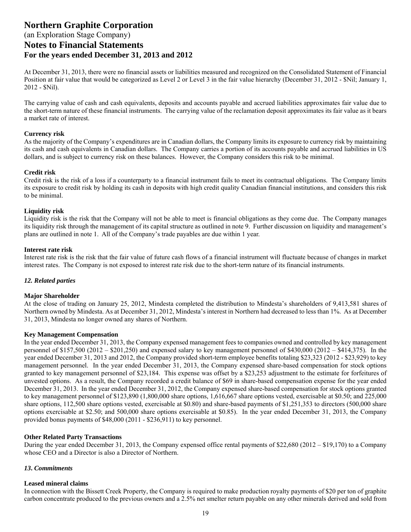At December 31, 2013, there were no financial assets or liabilities measured and recognized on the Consolidated Statement of Financial Position at fair value that would be categorized as Level 2 or Level 3 in the fair value hierarchy (December 31, 2012 - \$Nil; January 1, 2012 - \$Nil).

The carrying value of cash and cash equivalents, deposits and accounts payable and accrued liabilities approximates fair value due to the short-term nature of these financial instruments. The carrying value of the reclamation deposit approximates its fair value as it bears a market rate of interest.

### **Currency risk**

As the majority of the Company's expenditures are in Canadian dollars, the Company limits its exposure to currency risk by maintaining its cash and cash equivalents in Canadian dollars. The Company carries a portion of its accounts payable and accrued liabilities in US dollars, and is subject to currency risk on these balances. However, the Company considers this risk to be minimal.

### **Credit risk**

Credit risk is the risk of a loss if a counterparty to a financial instrument fails to meet its contractual obligations. The Company limits its exposure to credit risk by holding its cash in deposits with high credit quality Canadian financial institutions, and considers this risk to be minimal.

### **Liquidity risk**

Liquidity risk is the risk that the Company will not be able to meet is financial obligations as they come due. The Company manages its liquidity risk through the management of its capital structure as outlined in note 9. Further discussion on liquidity and management's plans are outlined in note 1. All of the Company's trade payables are due within 1 year.

### **Interest rate risk**

Interest rate risk is the risk that the fair value of future cash flows of a financial instrument will fluctuate because of changes in market interest rates. The Company is not exposed to interest rate risk due to the short-term nature of its financial instruments.

### *12. Related parties*

#### **Major Shareholder**

At the close of trading on January 25, 2012, Mindesta completed the distribution to Mindesta's shareholders of 9,413,581 shares of Northern owned by Mindesta. As at December 31, 2012, Mindesta's interest in Northern had decreased to less than 1%. As at December 31, 2013, Mindesta no longer owned any shares of Northern.

#### **Key Management Compensation**

In the year ended December 31, 2013, the Company expensed management fees to companies owned and controlled by key management personnel of \$157,500 (2012 – \$201,250) and expensed salary to key management personnel of \$430,000 (2012 – \$414,375). In the year ended December 31, 2013 and 2012, the Company provided short-term employee benefits totaling \$23,323 (2012 - \$23,929) to key management personnel. In the year ended December 31, 2013, the Company expensed share-based compensation for stock options granted to key management personnel of \$23,184. This expense was offset by a \$23,253 adjustment to the estimate for forfeitures of unvested options. As a result, the Company recorded a credit balance of \$69 in share-based compensation expense for the year ended December 31, 2013. In the year ended December 31, 2012, the Company expensed share-based compensation for stock options granted to key management personnel of \$123,890 (1,800,000 share options, 1,616,667 share options vested, exercisable at \$0.50; and 225,000 share options, 112,500 share options vested, exercisable at \$0.80) and share-based payments of \$1,251,353 to directors (500,000 share options exercisable at \$2.50; and 500,000 share options exercisable at \$0.85). In the year ended December 31, 2013, the Company provided bonus payments of \$48,000 (2011 - \$236,911) to key personnel.

### **Other Related Party Transactions**

During the year ended December 31, 2013, the Company expensed office rental payments of \$22,680 (2012 – \$19,170) to a Company whose CEO and a Director is also a Director of Northern.

### *13***.** *Commitments*

### **Leased mineral claims**

In connection with the Bissett Creek Property, the Company is required to make production royalty payments of \$20 per ton of graphite carbon concentrate produced to the previous owners and a 2.5% net smelter return payable on any other minerals derived and sold from